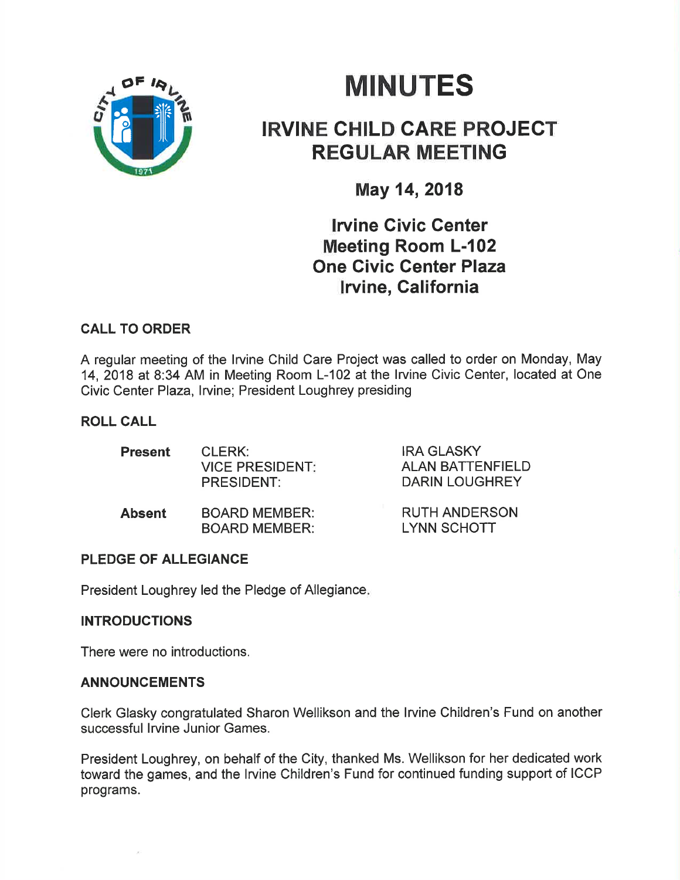

# **MINUTES**

## IRVINE CHILD GARE PROJEGT REGULAR MEETING

May 14,2018

**Irvine Civic Center** Meeting Room L-102 One Civic Center Plaza **Irvine, California** 

## CALL TO ORDER

A regular meeting of the lrvine Child Care Project was called to order on Monday, May 14, 2018 at 8:34 AM in Meeting Room L-102 at the lrvine Civic Center, located at One Civic Center Plaza, Irvine; President Loughrey presiding

## ROLL CALL

| <b>Present</b> | CLERK:<br><b>VICE PRESIDENT:</b><br><b>PRESIDENT:</b> | <b>IRA GLASKY</b><br><b>ALAN BATTENFIELD</b><br>DARIN LOUGHREY |
|----------------|-------------------------------------------------------|----------------------------------------------------------------|
| <b>Absent</b>  | <b>BOARD MEMBER:</b><br><b>BOARD MEMBER:</b>          | <b>RUTH ANDERSON</b><br><b>LYNN SCHOTT</b>                     |

## PLEDGE OF ALLEGIANCE

President Loughrey led the Pledge of Allegiance

## **INTRODUCTIONS**

There were no introductions.

#### ANNOUNCEMENTS

Clerk Glasky congratulated Sharon Wellikson and the lrvine Children's Fund on another successful lrvine Junior Games.

President Loughrey, on behalf of the City, thanked Ms. Wellikson for her dedicated work toward the games, and the lrvine Children's Fund for continued funding support of ICCP programs.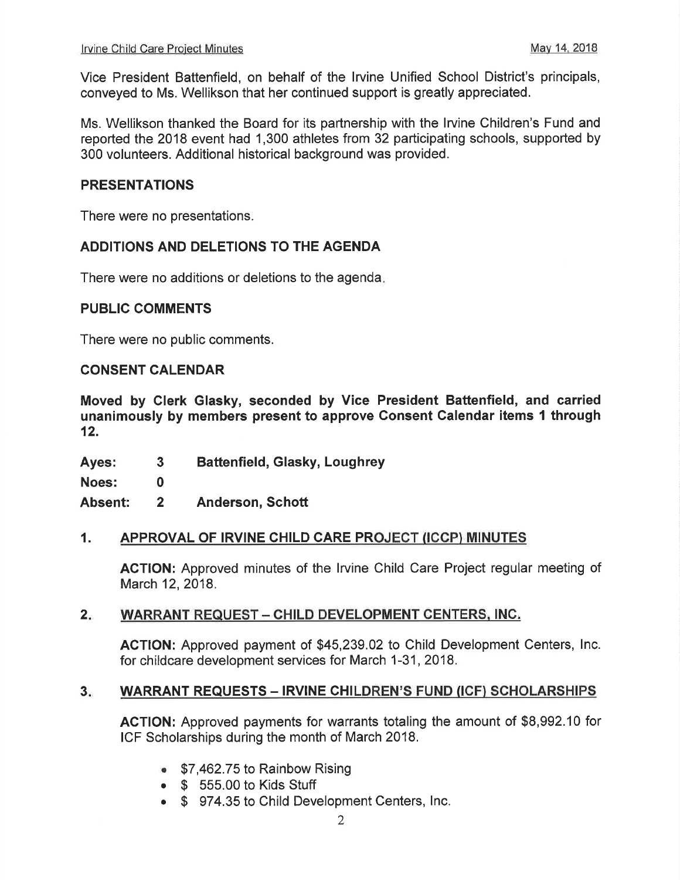Vice President Battenfield, on behalf of the lrvine Unified School District's principals, conveyed to Ms. Wellikson that her continued support is greatly appreciated.

Ms. Wellikson thanked the Board for its partnership with the lrvine Children's Fund and reported the 2018 event had 1,300 athletes from 32 participating schools, supported by 300 volunteers. Additional historical background was provided.

#### PRESENTATIONS

There were no presentations.

#### ADDITIONS AND DELETIONS TO THE AGENDA

There were no additions or deletions to the agenda

#### PUBLIC COMMENTS

There were no public comments.

#### CONSENT CALENDAR

Moved by Clerk Glasky, seconded by Vice President Battenfield, and carried unanimously by members present to approve Gonsent Calendar items I through 12.

Ayes: Battenfield, Glasky, Loughrey 3

Noes: 0

Absent: Anderson, Schott 2

#### 1. APPROVAL OF IRVINE CHILD CARE PROJECT (ICCP) MINUTES

ACTION: Approved minutes of the lrvine Child Care Project regular meeting of March 12, 2018.

#### WARRANT REQUEST - CHILD DEVELOPMENT CENTERS, INC.  $2 -$

ACTION: Approved payment of \$45,239.02 to Child Development Centers, lnc. for childcare development services for March 1-31, 2018.

#### WARRANT REQUESTS - IRVINE CHILDREN'S FUND (ICF) SCHOLARSHIPS  $3 -$

ACTION: Approved payments for warrants totaling the amount of \$8,992.10 for ICF Scholarships during the month of March 2018.

- $$7,462.75$  to Rainbow Rising
- $\bullet$   $\$$  555.00 to Kids Stuff
- o \$ 974.35 to Child Development Centers, lnc.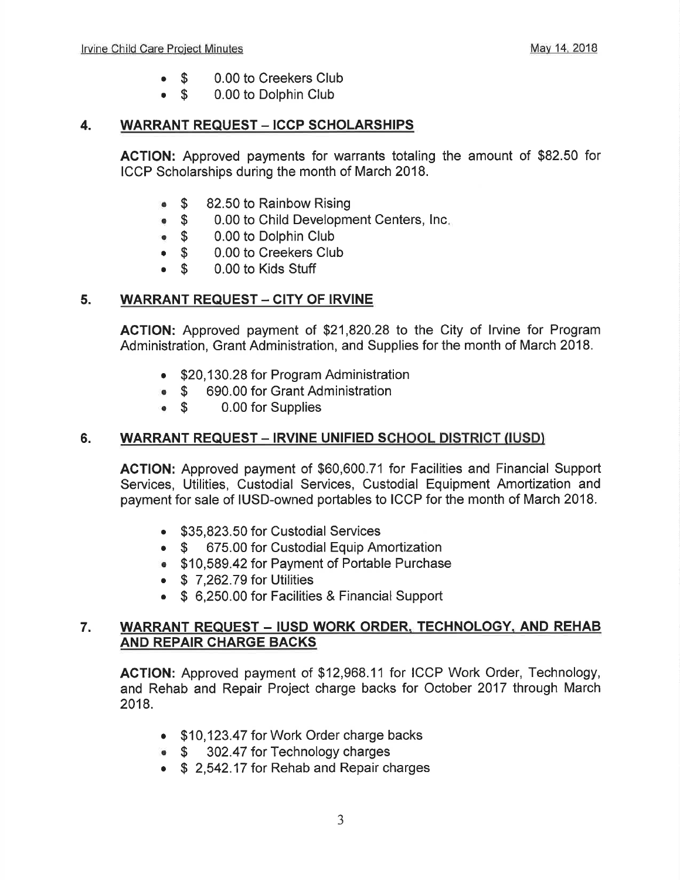- 0.00 to Creekers Club \$ a
- 0.00 to Dolphin Club \$ a

#### 4. WARRANT REQUEST - ICCP SCHOLARSHIPS

AGTION: Approved payments for warrants totaling the amount of \$82.50 for ICCP Scholarships during the month of March 2018.

- $\bullet$  \$ 82.50 to Rainbow Rising
- o\$ 0.00 to Child Development Centers, lnc
- $\bullet$  \$ 0.00 to Dolphin Club
- $\bullet$   $\bullet$ 0.00 to Creekers Club
- $\bullet$   $\bullet$ 0.00 to Kids Stuff

#### 5. WARRANT REQUEST - CITY OF IRVINE

ACTION: Approved payment of \$21 ,820.28 to the City of lrvine for Program Administration, Grant Administration, and Supplies for the month of March 2018.

- \$20,130.28 for Program Administration
- **\$ 690.00 for Grant Administration**<br>**\$ 6.00 for Supplies**
- 0.00 for Supplies

### 6. WARRANT REQUEST - IRVINE UNIFIED SCHOOL DISTRICT (IUSD)

ACTION: Approved payment of \$60,600.71 for Facilities and Financial Support Services, Utilities, Custodial Services, Custodial Equipment Amortization and payment for sale of IUSD-owned portables to ICCP for the month of March 2018.

- . \$35,823.50 for Custodial Services
- \$ 675.00 for Custodial Equip Amortization
- . \$10,589.42 for Payment of Portable Purchase
- $\bullet$  \$ 7,262.79 for Utilities
- \$ 6,250.00 for Facilities & Financial Support

#### 7. WARRANT REQUEST - IUSD WORK ORDER. TECHNOLOGY. AND REHAB AND REPAIR CHARGE BACKS

ACTION: Approved payment of \$12,968.11 for ICCP Work Order, Technology, and Rehab and Repair Project charge backs for October 2017 through March 2018.

- . \$10,123.47 for Work Order charge backs
- \$ 302.47 for Technology charges
- \$ 2,542.17 for Rehab and Repair charges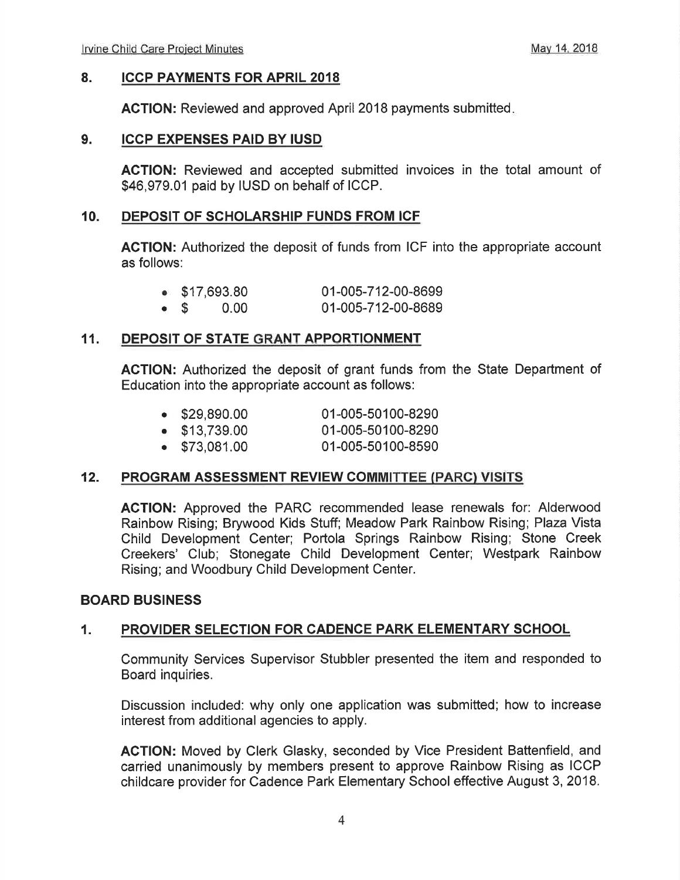#### 8. ICCP PAYMENTS FOR APRIL <sup>2018</sup>

AGTION: Reviewed and approved April 2018 payments submitted

#### 9. ICCP EXPENSES PAID BY IUSD

ACTION: Reviewed and accepted submitted invoices in the total amount of \$46,979.01 paid by IUSD on behalf of ICCP.

#### 10. DEPOSIT OF SCHOLARSHIP FUNDS FROM ICF

ACTION: Authorized the deposit of funds from ICF into the appropriate account as follows:

| $\bullet$ \$17,693.80 | 01-005-712-00-8699 |
|-----------------------|--------------------|
| $\bullet$ \$ 0.00     | 01-005-712-00-8689 |

#### 11. DEPOSIT OF STATE GRANT APPORTIONMENT

ACTION: Authorized the deposit of grant funds from the State Department of Education into the appropriate account as follows:

| $\bullet$ \$29,890.00 | 01-005-50100-8290 |
|-----------------------|-------------------|
| $\bullet$ \$13,739.00 | 01-005-50100-8290 |
| $\bullet$ \$73,081.00 | 01-005-50100-8590 |

#### 12. PROGRAM ASSESSMENT REVIEW COMMITTEE (PARC) VISITS

ACTION: Approved the PARC recommended lease renewals for: Alderwood Rainbow Rising; Brywood Kids Stuff; Meadow Park Rainbow Rising; Plaza Vista Child Development Center; Portola Springs Rainbow Rising; Stone Creek Creekers' Club; Stonegate Child Development Center; Westpark Rainbow Rising; and Woodbury Child Development Center.

#### BOARD BUSINESS

#### 1. PROVIDER SELECTION FOR CADENCE PARK ELEMENTARY SCHOOL

Community Services Supervisor Stubbler presented the item and responded to Board inquiries.

Discussion included: why only one application was submitted; how to increase interest from additional agencies to apply.

ACTION: Moved by Clerk Glasky, seconded by Vice President Battenfield, and carried unanimously by members present to approve Rainbow Rising as ICCP childcare provider for Cadence Park Elementary School effective August 3,2018.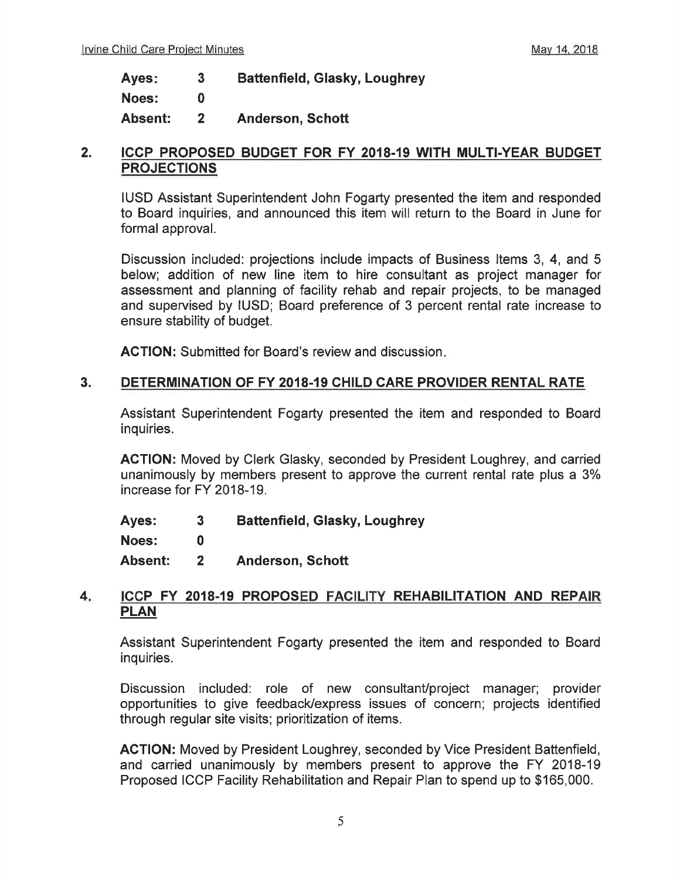Battenfield, Glasky, Loughrey 3 Ayes:

Noes: 0

Absent: Anderson, Schott 2

#### 2. ICCP PROPOSED BUDGET FOR FY 2018.19 WITH MULTI.YEAR BUDGET **PROJECTIONS**

IUSD Assistant Superintendent John Fogarty presented the item and responded to Board inquiries, and announced this item will return to the Board in June for formal approval.

Discussion included: projections include impacts of Business ltems 3, 4, and 5 below; addition of new line item to hire consultant as project manager for assessment and planning of facility rehab and repair projects, to be managed and supervised by IUSD; Board preference of 3 percent rental rate increase to ensure stability of budget.

ACTION: Submitted for Board's review and discussion.

#### 3. DETERMINATION OF FY 2018-19 CHILD CARE PROVIDER RENTAL RATE

Assistant Superintendent Fogarty presented the item and responded to Board inquiries.

ACTION: Moved by Clerk Glasky, seconded by President Loughrey, and carried unanimously by members present to approve the current rental rate plus a 3% increase for FY 2018-19.

Ayes: Battenfield, Glasky, Loughrey 3

Noes: 0

Absent: Anderson, Schott 2

#### 4. ICCP FY 2018-19 PROPOSED FACILITY REHABILITATION AND REPAIR PLAN

Assistant Superintendent Fogarty presented the item and responded to Board inquiries.

Discussion included: role of new consultant/project manager; provider opportunities to give feedback/express issues of concern; projects identified through regular site visits; prioritization of items.

ACTION: Moved by President Loughrey, seconded by Vice President Battenfield, and carried unanimously by members present to approve the FY 2018-19 Proposed ICCP Facility Rehabilitation and Repair Plan to spend up to \$165,000.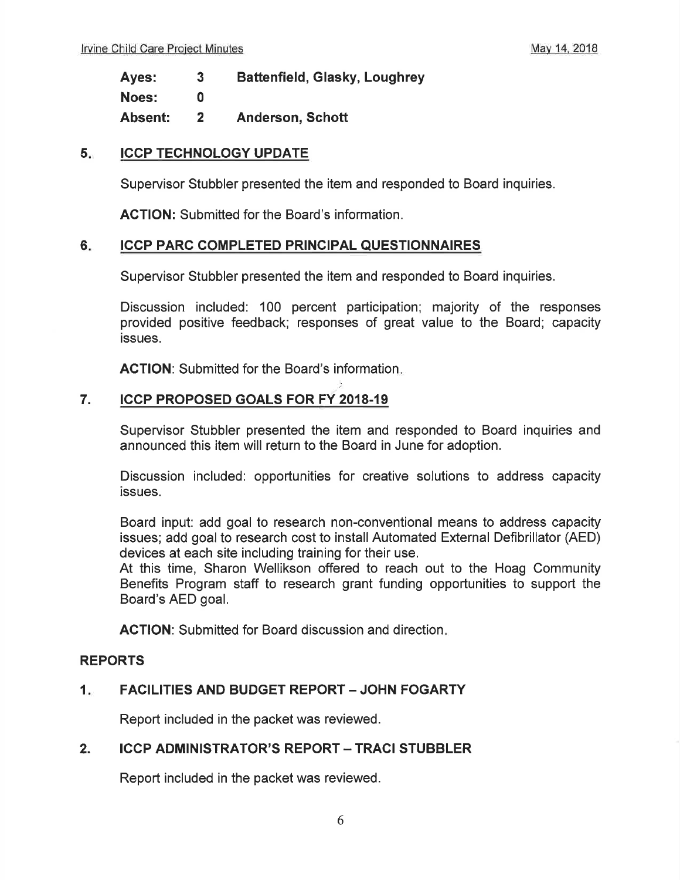Ayes: Battenfield, Glasky, Loughrey 3

Noes: 0

Absent: Anderson, Schott 2

#### ICCP TECHNOLOGY UPDATE 5.<sub>c</sub>

Supervisor Stubbler presented the item and responded to Board inquiries.

AGTION: Submitted for the Board's information.

#### ICCP PARC COMPLETED PRINCIPAL QUESTIONNAIRES 6

Supervisor Stubbler presented the item and responded to Board inquiries.

')

Discussion included: 100 percent participation; majority of the responses provided positive feedback; responses of great value to the Board; capacity issues.

ACTION: Submitted for the Board's information.

## 7. ICCP PROPOSED GOALS FOR FY 2OI8-19

Supervisor Stubbler presented the item and responded to Board inquiries and announced this item will return to the Board in June for adoption.

Discussion included: oppoftunities for creative solutions to address capacity issues.

Board input: add goal to research non-conventional means to address capacity issues; add goal to research cost to install Automated External Defibrillator (AED) devices at each site including training for their use.

At this time, Sharon Wellikson offered to reach out to the Hoag Community Benefits Program staff to research grant funding opportunities to support the Board's AED goal.

ACTION: Submitted for Board discussion and direction.

#### REPORTS

#### FACILITIES AND BUDGET REPORT - JOHN FOGARTY  $1.$

Report included in the packet was reviewed.

#### **ICCP ADMINISTRATOR'S REPORT - TRACI STUBBLER** 2.

Report included in the packet was reviewed.